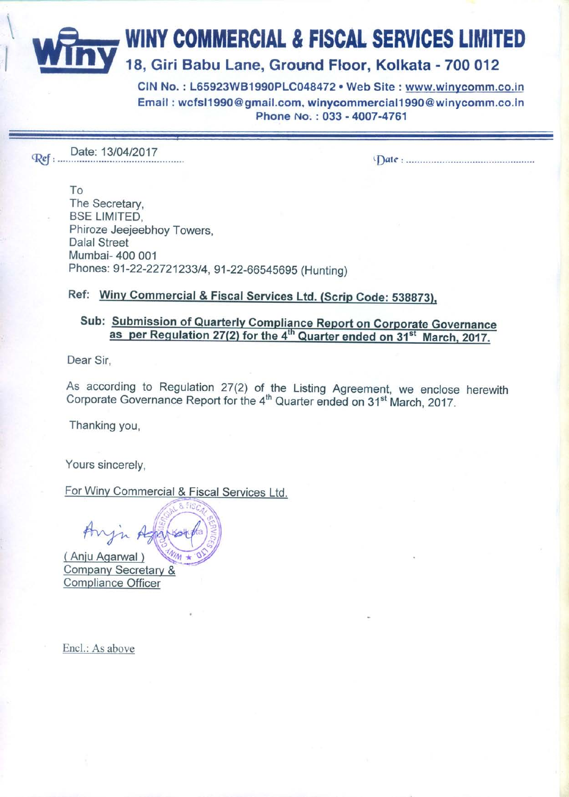# WINY COMMERCIAL & FISCAL SERVICES LIMITED 18, Giri Babu Lane, Ground Floor, Kolkata - 700 012

CIN No.: L65923WB1990PLC048472 . Web Site: www.winycomm.co.in Email: wcfsl1990@gmail.com, winycommercial1990@winycomm.co.in Phone No.: 033 - 4007-4761

Date: 13/04/2017 

To The Secretary, **BSE LIMITED.** Phiroze Jeejeebhoy Towers, **Dalal Street** Mumbai- 400 001 Phones: 91-22-22721233/4, 91-22-66545695 (Hunting)

# Ref: Winy Commercial & Fiscal Services Ltd. (Scrip Code: 538873),

### Sub: Submission of Quarterly Compliance Report on Corporate Governance as per Regulation 27(2) for the 4<sup>th</sup> Quarter ended on 31<sup>st</sup> March, 2017.

Dear Sir.

As according to Regulation 27(2) of the Listing Agreement, we enclose herewith Corporate Governance Report for the 4<sup>th</sup> Quarter ended on 31<sup>st</sup> March, 2017.

Thanking you,

Yours sincerely,

For Winy Commercial & Fiscal Services Ltd.

(Anju Agarwal) Company Secretary & Compliance Officer

Encl.: As above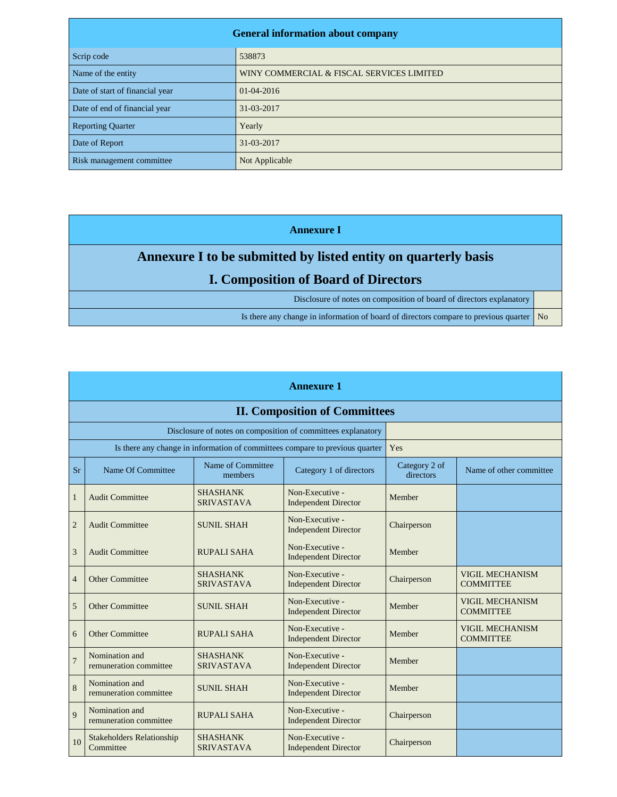| <b>General information about company</b> |                                           |  |  |  |
|------------------------------------------|-------------------------------------------|--|--|--|
| Scrip code                               | 538873                                    |  |  |  |
| Name of the entity                       | WINY COMMERCIAL & FISCAL SERVICES LIMITED |  |  |  |
| Date of start of financial year          | $01 - 04 - 2016$                          |  |  |  |
| Date of end of financial year            | 31-03-2017                                |  |  |  |
| <b>Reporting Quarter</b>                 | Yearly                                    |  |  |  |
| Date of Report                           | 31-03-2017                                |  |  |  |
| Risk management committee                | Not Applicable                            |  |  |  |

**Annexure I**

# **Annexure I to be submitted by listed entity on quarterly basis**

# **I. Composition of Board of Directors**

Disclosure of notes on composition of board of directors explanatory

Is there any change in information of board of directors compare to previous quarter  $\sqrt{\phantom{a}}$  No

|                                                                                                                       | <b>Annexure 1</b>                                            |                                      |                                                                              |                            |                                            |  |  |  |  |
|-----------------------------------------------------------------------------------------------------------------------|--------------------------------------------------------------|--------------------------------------|------------------------------------------------------------------------------|----------------------------|--------------------------------------------|--|--|--|--|
|                                                                                                                       | <b>II. Composition of Committees</b>                         |                                      |                                                                              |                            |                                            |  |  |  |  |
|                                                                                                                       | Disclosure of notes on composition of committees explanatory |                                      |                                                                              |                            |                                            |  |  |  |  |
|                                                                                                                       |                                                              |                                      | Is there any change in information of committees compare to previous quarter | Yes                        |                                            |  |  |  |  |
| <b>Sr</b>                                                                                                             | Name Of Committee                                            | Name of Committee<br>members         | Category 1 of directors                                                      | Category 2 of<br>directors | Name of other committee                    |  |  |  |  |
| $\mathbf{1}$                                                                                                          | <b>Audit Committee</b>                                       | <b>SHASHANK</b><br><b>SRIVASTAVA</b> | Non-Executive -<br><b>Independent Director</b>                               | Member                     |                                            |  |  |  |  |
| $\overline{2}$                                                                                                        | <b>Audit Committee</b>                                       | <b>SUNIL SHAH</b>                    | Non-Executive -<br><b>Independent Director</b>                               | Chairperson                |                                            |  |  |  |  |
| 3                                                                                                                     | <b>Audit Committee</b>                                       | RUPALI SAHA                          | Non-Executive -<br><b>Independent Director</b>                               | Member                     |                                            |  |  |  |  |
| $\overline{4}$                                                                                                        | <b>Other Committee</b>                                       | <b>SHASHANK</b><br><b>SRIVASTAVA</b> | Non-Executive -<br><b>Independent Director</b>                               | Chairperson                | <b>VIGIL MECHANISM</b><br><b>COMMITTEE</b> |  |  |  |  |
| 5                                                                                                                     | <b>Other Committee</b>                                       | <b>SUNIL SHAH</b>                    | Non-Executive -<br><b>Independent Director</b>                               | Member                     | VIGIL MECHANISM<br><b>COMMITTEE</b>        |  |  |  |  |
| 6                                                                                                                     | <b>Other Committee</b>                                       | RUPALI SAHA                          | Non-Executive -<br><b>Independent Director</b>                               | Member                     | VIGIL MECHANISM<br><b>COMMITTEE</b>        |  |  |  |  |
| Non-Executive -<br>Nomination and<br><b>SHASHANK</b><br>$\overline{7}$<br>remuneration committee<br><b>SRIVASTAVA</b> |                                                              | <b>Independent Director</b>          | Member                                                                       |                            |                                            |  |  |  |  |
| 8                                                                                                                     | Nomination and<br>remuneration committee                     | <b>SUNIL SHAH</b>                    | Non-Executive -<br><b>Independent Director</b>                               | Member                     |                                            |  |  |  |  |
| 9                                                                                                                     | Nomination and<br>remuneration committee                     | RUPALI SAHA                          | Non-Executive -<br><b>Independent Director</b>                               | Chairperson                |                                            |  |  |  |  |
| 10                                                                                                                    | <b>Stakeholders Relationship</b><br>Committee                | <b>SHASHANK</b><br><b>SRIVASTAVA</b> | Non-Executive -<br><b>Independent Director</b>                               | Chairperson                |                                            |  |  |  |  |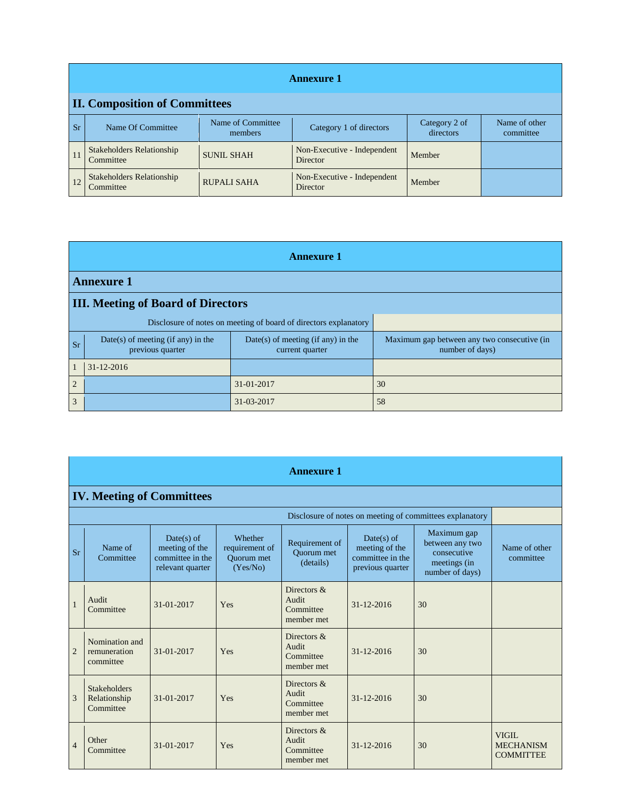|           | <b>Annexure 1</b>                             |                              |                                                |                            |                            |  |  |  |
|-----------|-----------------------------------------------|------------------------------|------------------------------------------------|----------------------------|----------------------------|--|--|--|
|           | <b>II. Composition of Committees</b>          |                              |                                                |                            |                            |  |  |  |
| <b>Sr</b> | Name Of Committee                             | Name of Committee<br>members | Category 1 of directors                        | Category 2 of<br>directors | Name of other<br>committee |  |  |  |
| 11        | <b>Stakeholders Relationship</b><br>Committee | <b>SUNIL SHAH</b>            | Non-Executive - Independent<br><b>Director</b> | Member                     |                            |  |  |  |
| 12        | <b>Stakeholders Relationship</b><br>Committee | <b>RUPALI SAHA</b>           | Non-Executive - Independent<br>Director        | Member                     |                            |  |  |  |

|                | <b>Annexure 1</b>                                                                                                   |                                                                  |                                                                |  |  |  |  |
|----------------|---------------------------------------------------------------------------------------------------------------------|------------------------------------------------------------------|----------------------------------------------------------------|--|--|--|--|
|                | <b>Annexure 1</b>                                                                                                   |                                                                  |                                                                |  |  |  |  |
|                | <b>III. Meeting of Board of Directors</b>                                                                           |                                                                  |                                                                |  |  |  |  |
|                |                                                                                                                     | Disclosure of notes on meeting of board of directors explanatory |                                                                |  |  |  |  |
| <b>Sr</b>      | $Date(s)$ of meeting (if any) in the<br>$Date(s)$ of meeting (if any) in the<br>previous quarter<br>current quarter |                                                                  | Maximum gap between any two consecutive (in<br>number of days) |  |  |  |  |
|                | $31 - 12 - 2016$                                                                                                    |                                                                  |                                                                |  |  |  |  |
| $\overline{2}$ |                                                                                                                     | 31-01-2017                                                       | 30                                                             |  |  |  |  |
| 3              |                                                                                                                     | 31-03-2017                                                       | 58                                                             |  |  |  |  |

|                | <b>Annexure 1</b>                                |                                                                        |                                                            |                                                    |                                                                        |                                                                                  |                                               |
|----------------|--------------------------------------------------|------------------------------------------------------------------------|------------------------------------------------------------|----------------------------------------------------|------------------------------------------------------------------------|----------------------------------------------------------------------------------|-----------------------------------------------|
|                | <b>IV. Meeting of Committees</b>                 |                                                                        |                                                            |                                                    |                                                                        |                                                                                  |                                               |
|                |                                                  |                                                                        |                                                            |                                                    |                                                                        | Disclosure of notes on meeting of committees explanatory                         |                                               |
| <b>Sr</b>      | Name of<br>Committee                             | $Date(s)$ of<br>meeting of the<br>committee in the<br>relevant quarter | Whether<br>requirement of<br><b>Ouorum</b> met<br>(Yes/No) | Requirement of<br><b>Ouorum</b> met<br>(details)   | $Date(s)$ of<br>meeting of the<br>committee in the<br>previous quarter | Maximum gap<br>between any two<br>consecutive<br>meetings (in<br>number of days) | Name of other<br>committee                    |
| $\mathbf{1}$   | Audit<br>Committee                               | 31-01-2017                                                             | Yes                                                        | Directors $\&$<br>Audit<br>Committee<br>member met | $31 - 12 - 2016$                                                       | 30                                                                               |                                               |
| $\overline{2}$ | Nomination and<br>remuneration<br>committee      | 31-01-2017                                                             | Yes                                                        | Directors $\&$<br>Audit<br>Committee<br>member met | $31 - 12 - 2016$                                                       | 30                                                                               |                                               |
| 3              | <b>Stakeholders</b><br>Relationship<br>Committee | 31-01-2017                                                             | Yes                                                        | Directors $\&$<br>Audit<br>Committee<br>member met | $31 - 12 - 2016$                                                       | 30                                                                               |                                               |
| $\overline{4}$ | Other<br>Committee                               | 31-01-2017                                                             | Yes                                                        | Directors $\&$<br>Audit<br>Committee<br>member met | $31 - 12 - 2016$                                                       | 30                                                                               | VIGIL<br><b>MECHANISM</b><br><b>COMMITTEE</b> |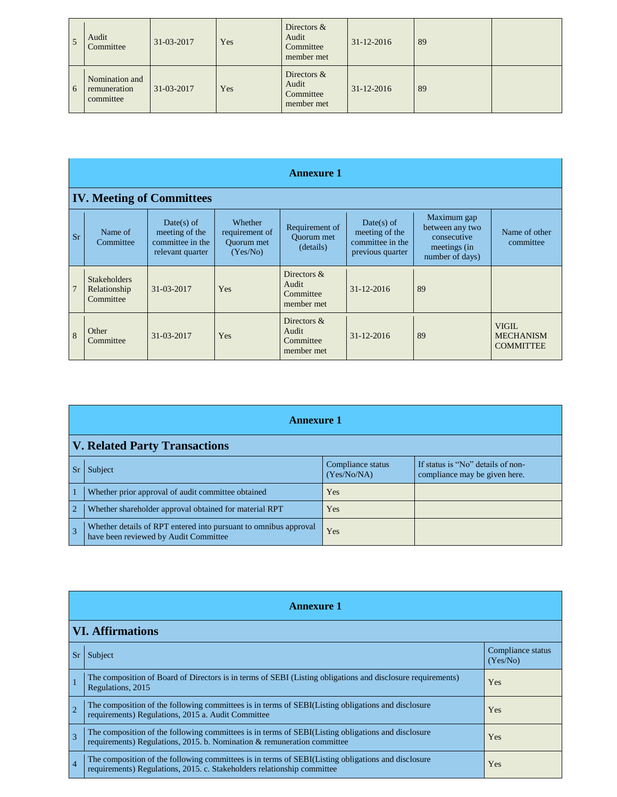| $\overline{5}$ | Audit<br>Committee                          | 31-03-2017 | Yes | Directors $\&$<br>Audit<br>Committee<br>member met | $31 - 12 - 2016$ | 89 |  |
|----------------|---------------------------------------------|------------|-----|----------------------------------------------------|------------------|----|--|
| 6              | Nomination and<br>remuneration<br>committee | 31-03-2017 | Yes | Directors $\&$<br>Audit<br>Committee<br>member met | $31 - 12 - 2016$ | 89 |  |

|                                                                                                                                                                                                                                                                                                                                                                             | <b>Annexure 1</b>                                |                  |            |                                                    |                            |    |                                               |  |
|-----------------------------------------------------------------------------------------------------------------------------------------------------------------------------------------------------------------------------------------------------------------------------------------------------------------------------------------------------------------------------|--------------------------------------------------|------------------|------------|----------------------------------------------------|----------------------------|----|-----------------------------------------------|--|
|                                                                                                                                                                                                                                                                                                                                                                             | <b>IV. Meeting of Committees</b>                 |                  |            |                                                    |                            |    |                                               |  |
| Maximum gap<br>Whether<br>Date(s) of<br>$Date(s)$ of<br>Requirement of<br>between any two<br>Name of<br>meeting of the<br>meeting of the<br>requirement of<br><b>Sr</b><br>Ouorum met<br>consecutive<br>committee in the<br>committee in the<br>Committee<br>Ouorum met<br>(details)<br>meetings (in<br>(Yes/No)<br>previous quarter<br>relevant quarter<br>number of days) |                                                  |                  |            |                                                    | Name of other<br>committee |    |                                               |  |
| $\overline{7}$                                                                                                                                                                                                                                                                                                                                                              | <b>Stakeholders</b><br>Relationship<br>Committee | 31-03-2017       | <b>Yes</b> | Directors $\&$<br>Audit<br>Committee<br>member met | $31 - 12 - 2016$           | 89 |                                               |  |
| $\mathbf{8}$                                                                                                                                                                                                                                                                                                                                                                | Other<br>Committee                               | $31 - 03 - 2017$ | <b>Yes</b> | Directors $\&$<br>Audit<br>Committee<br>member met | $31 - 12 - 2016$           | 89 | VIGIL<br><b>MECHANISM</b><br><b>COMMITTEE</b> |  |

| <b>Annexure 1</b> |  |
|-------------------|--|
|-------------------|--|

# **V. Related Party Transactions**

|                | Subject                                                                                                   | Compliance status<br>(Yes/No/NA) | If status is "No" details of non-<br>compliance may be given here. |  |  |  |  |  |
|----------------|-----------------------------------------------------------------------------------------------------------|----------------------------------|--------------------------------------------------------------------|--|--|--|--|--|
|                | Whether prior approval of audit committee obtained                                                        | Yes                              |                                                                    |  |  |  |  |  |
| $\overline{2}$ | Whether shareholder approval obtained for material RPT                                                    | Yes                              |                                                                    |  |  |  |  |  |
|                | Whether details of RPT entered into pursuant to omnibus approval<br>have been reviewed by Audit Committee | Yes                              |                                                                    |  |  |  |  |  |

|                | <b>Annexure 1</b>                                                                                                                                                             |                               |  |  |  |
|----------------|-------------------------------------------------------------------------------------------------------------------------------------------------------------------------------|-------------------------------|--|--|--|
|                | <b>VI. Affirmations</b>                                                                                                                                                       |                               |  |  |  |
| <b>Sr</b>      | Subject                                                                                                                                                                       | Compliance status<br>(Yes/No) |  |  |  |
|                | The composition of Board of Directors is in terms of SEBI (Listing obligations and disclosure requirements)<br>Regulations, 2015                                              | Yes                           |  |  |  |
| $\overline{2}$ | The composition of the following committees is in terms of SEBI(Listing obligations and disclosure<br>requirements) Regulations, 2015 a. Audit Committee                      | Yes                           |  |  |  |
| $\overline{3}$ | The composition of the following committees is in terms of SEBI(Listing obligations and disclosure<br>requirements) Regulations, 2015. b. Nomination & remuneration committee | Yes                           |  |  |  |
| $\overline{4}$ | The composition of the following committees is in terms of SEBI(Listing obligations and disclosure<br>requirements) Regulations, 2015. c. Stakeholders relationship committee | Yes                           |  |  |  |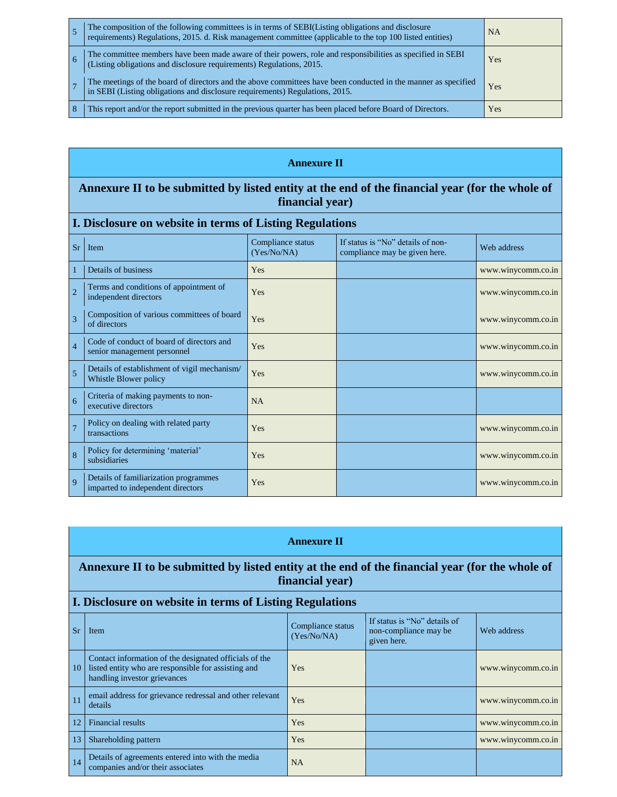|   | The composition of the following committees is in terms of SEBI(Listing obligations and disclosure requirements) Regulations, 2015. d. Risk management committee (applicable to the top 100 listed entities) | <b>NA</b> |
|---|--------------------------------------------------------------------------------------------------------------------------------------------------------------------------------------------------------------|-----------|
| 6 | The committee members have been made aware of their powers, role and responsibilities as specified in SEBI (Listing obligations and disclosure requirements) Regulations, 2015.                              | Yes       |
|   | The meetings of the board of directors and the above committees have been conducted in the manner as specified in SEBI (Listing obligations and disclosure requirements) Regulations, 2015.                  | Yes       |
|   | This report and/or the report submitted in the previous quarter has been placed before Board of Directors.                                                                                                   | Yes       |

|                | <b>Annexure II</b>                                                                                                            |                 |  |                    |  |  |  |
|----------------|-------------------------------------------------------------------------------------------------------------------------------|-----------------|--|--------------------|--|--|--|
|                | Annexure II to be submitted by listed entity at the end of the financial year (for the whole of                               | financial year) |  |                    |  |  |  |
|                | I. Disclosure on website in terms of Listing Regulations                                                                      |                 |  |                    |  |  |  |
| <b>Sr</b>      | If status is "No" details of non-<br>Compliance status<br>Web address<br>Item<br>(Yes/No/NA)<br>compliance may be given here. |                 |  |                    |  |  |  |
| 1              | Details of business                                                                                                           | Yes             |  | www.winycomm.co.in |  |  |  |
| $\overline{2}$ | Terms and conditions of appointment of<br>independent directors                                                               | Yes             |  | www.winycomm.co.in |  |  |  |
| 3              | Composition of various committees of board<br>of directors                                                                    | Yes             |  | www.winycomm.co.in |  |  |  |
| $\overline{4}$ | Code of conduct of board of directors and<br>senior management personnel                                                      | Yes             |  | www.winycomm.co.in |  |  |  |
| 5              | Details of establishment of vigil mechanism/<br>Whistle Blower policy                                                         | Yes             |  | www.winycomm.co.in |  |  |  |
| 6              | Criteria of making payments to non-<br>executive directors                                                                    | NA              |  |                    |  |  |  |
| $\overline{7}$ | Policy on dealing with related party<br>transactions                                                                          | Yes             |  | www.winycomm.co.in |  |  |  |
| 8              | Policy for determining 'material'<br>subsidiaries                                                                             | Yes             |  | www.winycomm.co.in |  |  |  |
| $\overline{Q}$ | Details of familiarization programmes<br>imparted to independent directors                                                    | Yes             |  | www.winycomm.co.in |  |  |  |

#### **Annexure II**

### **Annexure II to be submitted by listed entity at the end of the financial year (for the whole of financial year)**

#### **I. Disclosure on website in terms of Listing Regulations**

| <b>Sr</b>  | Item                                                                                                                                          | Compliance status<br>(Yes/No/NA) | If status is "No" details of<br>non-compliance may be<br>given here. | Web address        |
|------------|-----------------------------------------------------------------------------------------------------------------------------------------------|----------------------------------|----------------------------------------------------------------------|--------------------|
| $\vert$ 10 | Contact information of the designated officials of the<br>listed entity who are responsible for assisting and<br>handling investor grievances | <b>Yes</b>                       |                                                                      | www.winycomm.co.in |
| 11         | email address for grievance redressal and other relevant<br>details                                                                           | Yes                              |                                                                      | www.winycomm.co.in |
| 12         | <b>Financial results</b>                                                                                                                      | <b>Yes</b>                       |                                                                      | www.winycomm.co.in |
| 13         | Shareholding pattern                                                                                                                          | Yes                              |                                                                      | www.winycomm.co.in |
| 14         | Details of agreements entered into with the media<br>companies and/or their associates                                                        | <b>NA</b>                        |                                                                      |                    |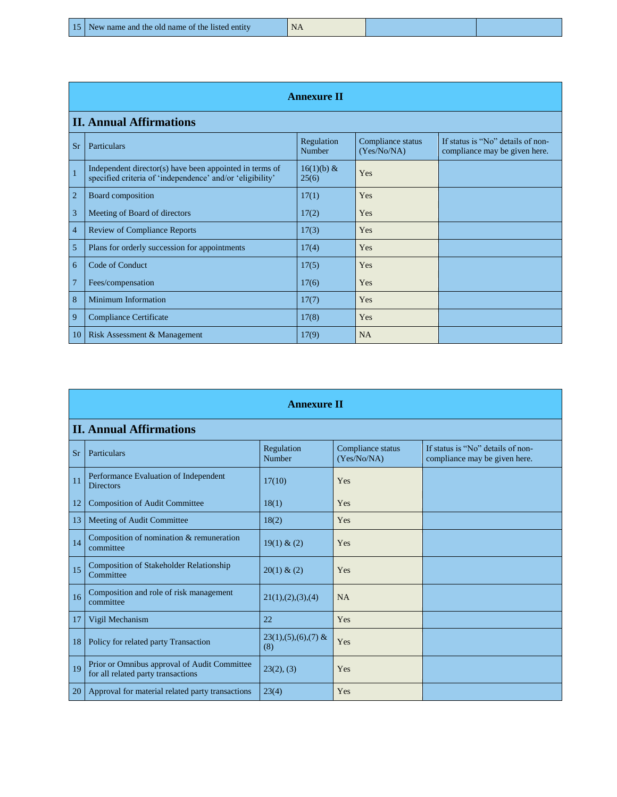| 15 New name and the old name of the listed entity |  |  |  |
|---------------------------------------------------|--|--|--|
|---------------------------------------------------|--|--|--|

| <b>Annexure II</b> |                                                                                                                      |                       |                                  |                                                                    |
|--------------------|----------------------------------------------------------------------------------------------------------------------|-----------------------|----------------------------------|--------------------------------------------------------------------|
|                    | <b>II. Annual Affirmations</b>                                                                                       |                       |                                  |                                                                    |
| <b>Sr</b>          | Particulars                                                                                                          | Regulation<br>Number  | Compliance status<br>(Yes/No/NA) | If status is "No" details of non-<br>compliance may be given here. |
| $\mathbf{1}$       | Independent director(s) have been appointed in terms of<br>specified criteria of 'independence' and/or 'eligibility' | $16(1)(b)$ &<br>25(6) | Yes                              |                                                                    |
| $\overline{2}$     | Board composition                                                                                                    | 17(1)                 | Yes                              |                                                                    |
| 3                  | Meeting of Board of directors                                                                                        | 17(2)                 | Yes                              |                                                                    |
| $\overline{4}$     | <b>Review of Compliance Reports</b>                                                                                  | 17(3)                 | Yes                              |                                                                    |
| 5                  | Plans for orderly succession for appointments                                                                        | 17(4)                 | Yes                              |                                                                    |
| 6                  | Code of Conduct                                                                                                      | 17(5)                 | Yes                              |                                                                    |
| 7                  | Fees/compensation                                                                                                    | 17(6)                 | Yes                              |                                                                    |
| 8                  | <b>Minimum Information</b>                                                                                           | 17(7)                 | Yes                              |                                                                    |
| 9                  | <b>Compliance Certificate</b>                                                                                        | 17(8)                 | Yes                              |                                                                    |
| 10                 | Risk Assessment & Management                                                                                         | 17(9)                 | NA                               |                                                                    |

| <b>Annexure II</b> |                                                                                    |                                 |                                  |                                                                    |  |
|--------------------|------------------------------------------------------------------------------------|---------------------------------|----------------------------------|--------------------------------------------------------------------|--|
|                    | <b>II. Annual Affirmations</b>                                                     |                                 |                                  |                                                                    |  |
| <b>Sr</b>          | Particulars                                                                        | Regulation<br>Number            | Compliance status<br>(Yes/No/NA) | If status is "No" details of non-<br>compliance may be given here. |  |
| 11                 | Performance Evaluation of Independent<br><b>Directors</b>                          | 17(10)                          | <b>Yes</b>                       |                                                                    |  |
| 12                 | <b>Composition of Audit Committee</b>                                              | 18(1)                           | Yes                              |                                                                    |  |
| 13                 | Meeting of Audit Committee                                                         | 18(2)                           | <b>Yes</b>                       |                                                                    |  |
| 14                 | Composition of nomination & remuneration<br>committee                              | 19(1) & (2)                     | <b>Yes</b>                       |                                                                    |  |
| 15                 | <b>Composition of Stakeholder Relationship</b><br>Committee                        | 20(1) & (2)                     | Yes                              |                                                                    |  |
| 16                 | Composition and role of risk management<br>committee                               | 21(1), (2), (3), (4)            | NA                               |                                                                    |  |
| 17                 | Vigil Mechanism                                                                    | 22                              | Yes                              |                                                                    |  |
| 18                 | Policy for related party Transaction                                               | $23(1), (5), (6), (7)$ &<br>(8) | Yes                              |                                                                    |  |
| 19                 | Prior or Omnibus approval of Audit Committee<br>for all related party transactions | 23(2), (3)                      | Yes                              |                                                                    |  |
| 20                 | Approval for material related party transactions                                   | 23(4)                           | Yes                              |                                                                    |  |